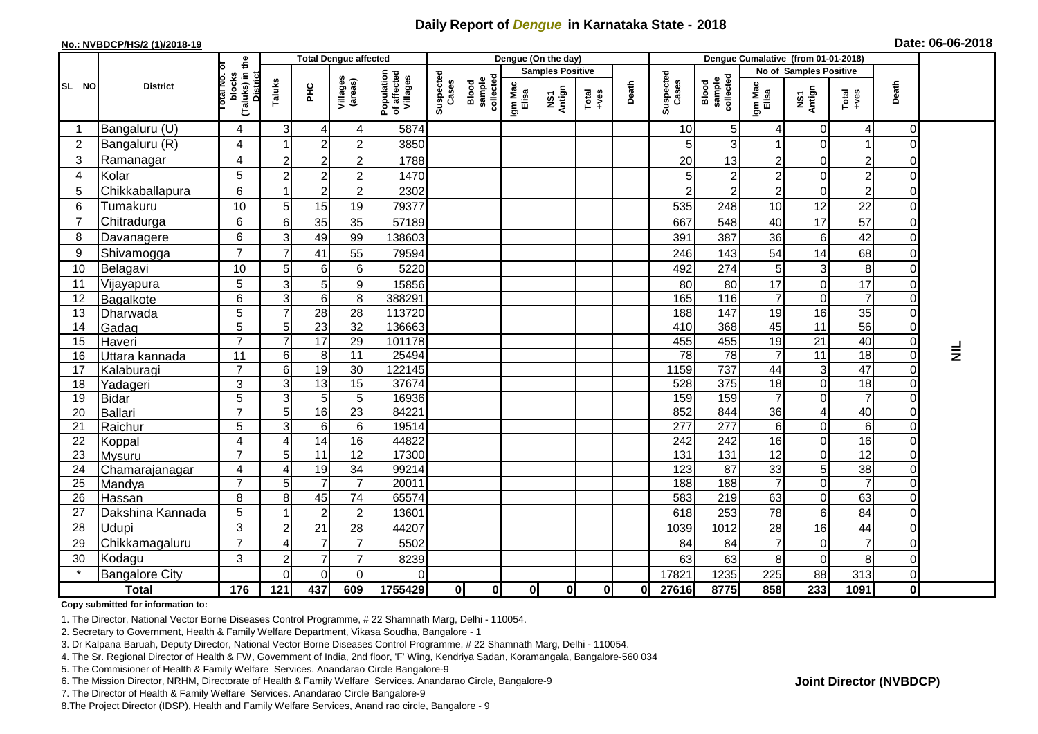## **Daily Report of** *Dengue* **in Karnataka State - 2018**

#### **No.: NVBDCP/HS/2 (1)/2018-19**

| Date: 06-06-2018 |  |  |
|------------------|--|--|
|------------------|--|--|

|                |                          | the                       |                                                      |                       | <b>Total Dengue affected</b> |                     | Dengue (On the day)                   |                    |                              |                  |               |         |                  | Dengue Cumalative (from 01-01-2018) |                              |                  |                 |                                  |                 |  |
|----------------|--------------------------|---------------------------|------------------------------------------------------|-----------------------|------------------------------|---------------------|---------------------------------------|--------------------|------------------------------|------------------|---------------|---------|------------------|-------------------------------------|------------------------------|------------------|-----------------|----------------------------------|-----------------|--|
|                |                          |                           |                                                      |                       |                              |                     |                                       |                    | <b>Samples Positive</b>      |                  |               |         |                  |                                     | No of Samples Positive       |                  |                 |                                  |                 |  |
| SL NO          | <b>District</b>          |                           | (Taluks) in<br>blocks<br><b>District</b><br>otal No. | Taluks                | ЭHС<br>Н                     | Villages<br>(areas) | Population<br>of affected<br>Villages | Suspected<br>Cases | Blood<br>sample<br>collected | Igm Mac<br>Elisa | NS1<br>Antign | $Total$ | Death            | Suspected<br>Cases                  | sample<br>collected<br>Blood | Igm Mac<br>Elisa | NS1<br>Antign   | Total<br>+ves                    | Death           |  |
|                | Bangaluru (U)            | 4                         | $\mathfrak{S}$                                       | 4                     | 4                            | 5874                |                                       |                    |                              |                  |               |         | 10               | 5 <sup>1</sup>                      | 4                            | 0                | 4               | $\mathbf 0$                      |                 |  |
| $\overline{2}$ | Bangaluru (R)            | $\overline{4}$            |                                                      | $\overline{2}$        | 2                            | 3850                |                                       |                    |                              |                  |               |         | 5                | 3                                   |                              | $\Omega$         | $\mathbf{1}$    | $\mathbf 0$                      |                 |  |
| 3              | Ramanagar                | $\overline{\mathbf{4}}$   | $\overline{2}$                                       | $\boldsymbol{2}$      | 2                            | 1788                |                                       |                    |                              |                  |               |         | 20               | 13                                  | 2                            | 0                | $\overline{c}$  | $\mathbf 0$                      |                 |  |
| 4              | Kolar                    | 5                         | $\overline{2}$                                       | $\overline{c}$        | $\overline{c}$               | 1470                |                                       |                    |                              |                  |               |         | 5                | $\overline{2}$                      | $\overline{c}$               | $\Omega$         | $\overline{c}$  | $\boldsymbol{0}$                 |                 |  |
| 5              | Chikkaballapura          | $6\phantom{1}6$           |                                                      | $\boldsymbol{2}$      | 2                            | 2302                |                                       |                    |                              |                  |               |         | $\overline{2}$   | $\overline{c}$                      | $\boldsymbol{2}$             | $\Omega$         | $\overline{c}$  | $\boldsymbol{0}$                 |                 |  |
| 6              | Tumakuru                 | 10                        | 5                                                    | 15                    | 19                           | 79377               |                                       |                    |                              |                  |               |         | 535              | 248                                 | 10                           | 12               | 22              | $\boldsymbol{0}$                 |                 |  |
| $\overline{7}$ | Chitradurga              | 6                         | $\,6$                                                | 35                    | 35                           | 57189               |                                       |                    |                              |                  |               |         | 667              | 548                                 | 40                           | 17               | 57              | $\mathbf 0$                      |                 |  |
| 8              | Davanagere               | 6                         | $\mathsf 3$                                          | 49                    | 99                           | 138603              |                                       |                    |                              |                  |               |         | 391              | 387                                 | 36                           | 6                | 42              | $\mathbf 0$                      |                 |  |
| 9              | Shivamogga               | $\overline{7}$            | $\overline{7}$                                       | 41                    | 55                           | 79594               |                                       |                    |                              |                  |               |         | 246              | 143                                 | 54                           | 14               | 68              | $\boldsymbol{0}$                 |                 |  |
| 10             | Belagavi                 | 10                        | 5                                                    | 6                     | 6                            | 5220                |                                       |                    |                              |                  |               |         | 492              | 274                                 | 5                            | 3                | 8               | $\mathbf 0$                      |                 |  |
| 11             | Vijayapura               | $\sqrt{5}$                | $\mathbf{3}$                                         | 5                     | $\boldsymbol{9}$             | 15856               |                                       |                    |                              |                  |               |         | 80               | 80                                  | 17                           | 0                | 17              | $\boldsymbol{0}$                 |                 |  |
| 12             | Bagalkote                | 6                         | 3                                                    | 6                     | 8                            | 388291              |                                       |                    |                              |                  |               |         | 165              | 116                                 | $\overline{7}$               | 0                | $\overline{7}$  | $\boldsymbol{0}$                 |                 |  |
| 13             | Dharwada                 | $\overline{5}$            | $\overline{7}$                                       | $\overline{28}$       | $\overline{28}$              | 113720              |                                       |                    |                              |                  |               |         | 188              | 147                                 | 19                           | 16               | $\overline{35}$ | $\overline{0}$                   |                 |  |
| 14             | Gadag                    | 5                         | 5                                                    | $\overline{23}$       | $\overline{32}$              | 136663              |                                       |                    |                              |                  |               |         | 410              | 368                                 | 45                           | 11               | 56              | $\overline{0}$                   |                 |  |
| 15             | Haveri                   | $\overline{7}$            | $\overline{7}$                                       | 17                    | 29                           | 101178              |                                       |                    |                              |                  |               |         | 455              | 455                                 | 19                           | 21               | 40              | $\mathbf 0$                      |                 |  |
| 16             | Uttara kannada           | 11                        | $\,6\,$                                              | 8                     | 11                           | 25494               |                                       |                    |                              |                  |               |         | $\overline{78}$  | 78                                  | $\overline{7}$               | 11               | 18              | $\overline{0}$                   | $\vec{\bar{z}}$ |  |
| 17             | Kalaburagi               | $\overline{7}$            | $\,6$                                                | 19                    | 30                           | 122145              |                                       |                    |                              |                  |               |         | 1159             | 737                                 | 44                           | 3                | 47              | $\mathbf 0$                      |                 |  |
| 18             | Yadageri                 | $\ensuremath{\mathsf{3}}$ | دن                                                   | 13                    | 15                           | 37674               |                                       |                    |                              |                  |               |         | 528              | 375                                 | 18                           | 0                | 18              | $\overline{0}$                   |                 |  |
| 19             | <b>Bidar</b>             | $\sqrt{5}$                | $\overline{3}$                                       | $\overline{5}$        | 5                            | 16936               |                                       |                    |                              |                  |               |         | 159              | 159                                 | $\overline{7}$               | 0                | $\overline{7}$  | $\overline{0}$                   |                 |  |
| 20             | Ballari                  | $\overline{7}$            | 5                                                    | 16                    | $\overline{23}$              | 84221               |                                       |                    |                              |                  |               |         | 852              | 844                                 | $\overline{36}$              | 4                | 40              | $\overline{0}$                   |                 |  |
| 21             | Raichur                  | 5                         | 3                                                    | 6                     | 6                            | 19514               |                                       |                    |                              |                  |               |         | $\overline{277}$ | $\overline{277}$                    | 6                            | 0                | 6               | $\overline{0}$                   |                 |  |
| 22             | Koppal                   | $\overline{\mathbf{4}}$   | $\overline{4}$                                       | 14<br>$\overline{11}$ | 16                           | 44822               |                                       |                    |                              |                  |               |         | 242              | 242                                 | 16                           | 0                | $\overline{16}$ | $\pmb{0}$                        |                 |  |
| 23             | Mysuru                   | $\overline{7}$            | 5                                                    | $\overline{19}$       | 12<br>$\overline{34}$        | 17300<br>99214      |                                       |                    |                              |                  |               |         | 131<br>123       | $\overline{131}$<br>87              | $\overline{12}$<br>33        | 0                | 12<br>38        | $\overline{0}$<br>$\overline{0}$ |                 |  |
| 24<br>25       | Chamarajanagar<br>Mandya | 4<br>$\overline{7}$       | $\overline{4}$<br>5                                  | $\overline{7}$        | $\overline{7}$               | 20011               |                                       |                    |                              |                  |               |         | 188              | 188                                 | $\overline{7}$               | 5<br>0           | $\overline{7}$  | $\overline{0}$                   |                 |  |
| 26             | Hassan                   | 8                         | $\bf 8$                                              | 45                    | 74                           | 65574               |                                       |                    |                              |                  |               |         | 583              | 219                                 | 63                           | 0                | 63              | $\overline{0}$                   |                 |  |
| 27             | Dakshina Kannada         | 5                         |                                                      | $\overline{2}$        | 2                            | 13601               |                                       |                    |                              |                  |               |         | 618              | 253                                 | 78                           | 6                | 84              | $\mathbf 0$                      |                 |  |
| 28             | Udupi                    | 3                         | $\boldsymbol{2}$                                     | 21                    | 28                           | 44207               |                                       |                    |                              |                  |               |         | 1039             | 1012                                | 28                           | 16               | 44              | $\boldsymbol{0}$                 |                 |  |
| 29             | Chikkamagaluru           | $\overline{7}$            | 4                                                    | $\overline{7}$        | $\overline{7}$               | 5502                |                                       |                    |                              |                  |               |         | 84               | 84                                  | $\overline{7}$               | 0                | $\overline{7}$  | $\boldsymbol{0}$                 |                 |  |
| 30             | Kodagu                   | 3                         | $\overline{2}$                                       | $\overline{7}$        | 7                            | 8239                |                                       |                    |                              |                  |               |         | 63               | 63                                  | 8                            | 0                | 8               | $\boldsymbol{0}$                 |                 |  |
|                | <b>Bangalore City</b>    |                           | $\mathbf 0$                                          | $\mathbf 0$           | 0                            |                     |                                       |                    |                              |                  |               |         | 17821            | 1235                                | 225                          | 88               | 313             | $\mathbf 0$                      |                 |  |
|                | <b>Total</b>             | 176                       | 121                                                  | 437                   | 609                          | 1755429             | Οl                                    | 0l                 | $\bf{0}$                     | 0I               | 0l            | 0       | 27616            | 8775                                | 858                          | 233              | 1091            | $\mathbf{0}$                     |                 |  |

#### **Copy submitted for information to:**

1. The Director, National Vector Borne Diseases Control Programme, # 22 Shamnath Marg, Delhi - 110054.

2. Secretary to Government, Health & Family Welfare Department, Vikasa Soudha, Bangalore - 1

3. Dr Kalpana Baruah, Deputy Director, National Vector Borne Diseases Control Programme, # 22 Shamnath Marg, Delhi - 110054.

4. The Sr. Regional Director of Health & FW, Government of India, 2nd floor, 'F' Wing, Kendriya Sadan, Koramangala, Bangalore-560 034

5. The Commisioner of Health & Family Welfare Services. Anandarao Circle Bangalore-9

6. The Mission Director, NRHM, Directorate of Health & Family Welfare Services. Anandarao Circle, Bangalore-9

7. The Director of Health & Family Welfare Services. Anandarao Circle Bangalore-9

8.The Project Director (IDSP), Health and Family Welfare Services, Anand rao circle, Bangalore - 9